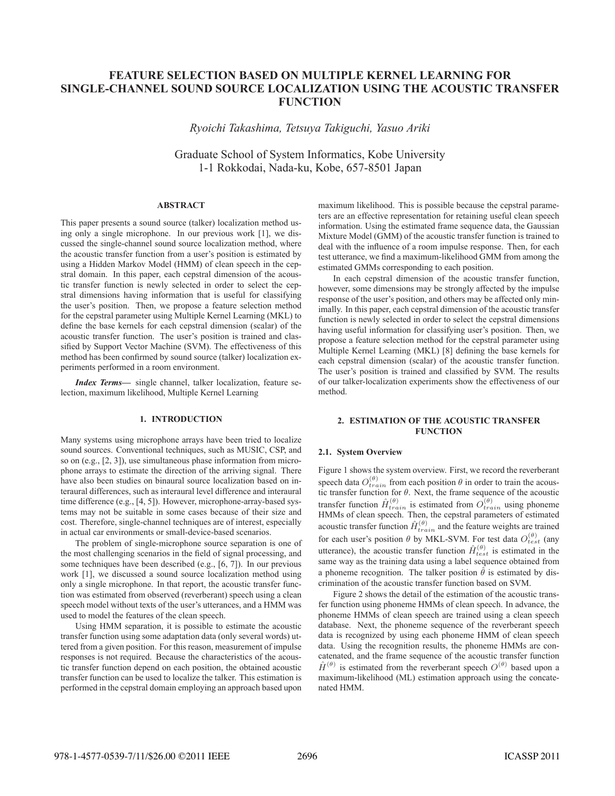# **FEATURE SELECTION BASED ON MULTIPLE KERNEL LEARNING FOR SINGLE-CHANNEL SOUND SOURCE LOCALIZATION USING THE ACOUSTIC TRANSFER FUNCTION**

*Ryoichi Takashima, Tetsuya Takiguchi, Yasuo Ariki*

Graduate School of System Informatics, Kobe University 1-1 Rokkodai, Nada-ku, Kobe, 657-8501 Japan

# **ABSTRACT**

This paper presents a sound source (talker) localization method using only a single microphone. In our previous work [1], we discussed the single-channel sound source localization method, where the acoustic transfer function from a user's position is estimated by using a Hidden Markov Model (HMM) of clean speech in the cepstral domain. In this paper, each cepstral dimension of the acoustic transfer function is newly selected in order to select the cepstral dimensions having information that is useful for classifying the user's position. Then, we propose a feature selection method for the cepstral parameter using Multiple Kernel Learning (MKL) to define the base kernels for each cepstral dimension (scalar) of the acoustic transfer function. The user's position is trained and classified by Support Vector Machine (SVM). The effectiveness of this method has been confirmed by sound source (talker) localization experiments performed in a room environment.

*Index Terms***—** single channel, talker localization, feature selection, maximum likelihood, Multiple Kernel Learning

## **1. INTRODUCTION**

Many systems using microphone arrays have been tried to localize sound sources. Conventional techniques, such as MUSIC, CSP, and so on (e.g., [2, 3]), use simultaneous phase information from microphone arrays to estimate the direction of the arriving signal. There have also been studies on binaural source localization based on interaural differences, such as interaural level difference and interaural time difference (e.g., [4, 5]). However, microphone-array-based systems may not be suitable in some cases because of their size and cost. Therefore, single-channel techniques are of interest, especially in actual car environments or small-device-based scenarios.

The problem of single-microphone source separation is one of the most challenging scenarios in the field of signal processing, and some techniques have been described (e.g., [6, 7]). In our previous work [1], we discussed a sound source localization method using only a single microphone. In that report, the acoustic transfer function was estimated from observed (reverberant) speech using a clean speech model without texts of the user's utterances, and a HMM was used to model the features of the clean speech.

Using HMM separation, it is possible to estimate the acoustic transfer function using some adaptation data (only several words) uttered from a given position. For this reason, measurement of impulse responses is not required. Because the characteristics of the acoustic transfer function depend on each position, the obtained acoustic transfer function can be used to localize the talker. This estimation is performed in the cepstral domain employing an approach based upon maximum likelihood. This is possible because the cepstral parameters are an effective representation for retaining useful clean speech information. Using the estimated frame sequence data, the Gaussian Mixture Model (GMM) of the acoustic transfer function is trained to deal with the influence of a room impulse response. Then, for each test utterance, we find a maximum-likelihood GMM from among the estimated GMMs corresponding to each position.

In each cepstral dimension of the acoustic transfer function, however, some dimensions may be strongly affected by the impulse response of the user's position, and others may be affected only minimally. In this paper, each cepstral dimension of the acoustic transfer function is newly selected in order to select the cepstral dimensions having useful information for classifying user's position. Then, we propose a feature selection method for the cepstral parameter using Multiple Kernel Learning (MKL) [8] defining the base kernels for each cepstral dimension (scalar) of the acoustic transfer function. The user's position is trained and classified by SVM. The results of our talker-localization experiments show the effectiveness of our method.

# **2. ESTIMATION OF THE ACOUSTIC TRANSFER FUNCTION**

### **2.1. System Overview**

Figure 1 shows the system overview. First, we record the reverberant speech data  $O_{train}^{(\theta)}$  from each position  $\theta$  in order to train the acoustic transfer function for  $\theta$ . Next, the frame sequence of the acoustic transfer function  $\hat{H}^{(\theta)}_{train}$  is estimated from  $O^{(\theta)}_{train}$  using phonement  $I_{total}$ HMMs of clean speech. Then, the cepstral parameters of estimated acoustic transfer function  $\hat{H}_{train}^{(\theta)}$  and the feature weights are trained for each user's position  $\theta$  by MKL-SVM. For test data  $O_{test}^{(\theta)}$  (any utterance), the acoustic transfer function  $\hat{H}_{test}^{(\theta)}$  is estimated in the same way as the training data using a label sequence obtained from a phoneme recognition. The talker position  $\hat{\theta}$  is estimated by discrimination of the acoustic transfer function based on SVM.

Figure 2 shows the detail of the estimation of the acoustic transfer function using phoneme HMMs of clean speech. In advance, the phoneme HMMs of clean speech are trained using a clean speech database. Next, the phoneme sequence of the reverberant speech data is recognized by using each phoneme HMM of clean speech data. Using the recognition results, the phoneme HMMs are concatenated, and the frame sequence of the acoustic transfer function  $\hat{H}^{(\theta)}$  is estimated from the reverberant speech  $O^{(\theta)}$  based upon a maximum-likelihood (ML) estimation approach using the concatenated HMM.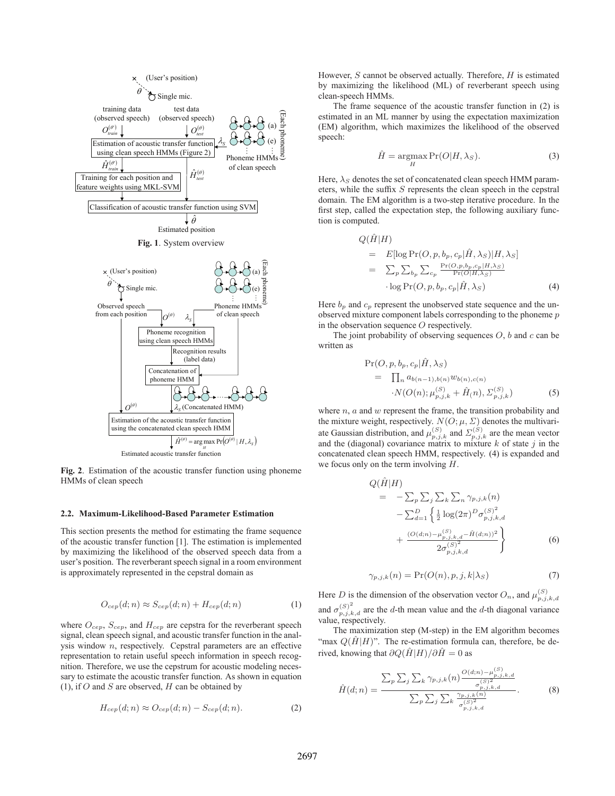

**Fig. 2**. Estimation of the acoustic transfer function using phoneme HMMs of clean speech

#### **2.2. Maximum-Likelihood-Based Parameter Estimation**

This section presents the method for estimating the frame sequence of the acoustic transfer function [1]. The estimation is implemented by maximizing the likelihood of the observed speech data from a user's position. The reverberant speech signal in a room environment is approximately represented in the cepstral domain as

$$
O_{cep}(d; n) \approx S_{cep}(d; n) + H_{cep}(d; n)
$$
\n(1)

where  $O_{cep}$ ,  $S_{cep}$ , and  $H_{cep}$  are cepstra for the reverberant speech signal, clean speech signal, and acoustic transfer function in the analysis window n, respectively. Cepstral parameters are an effective representation to retain useful speech information in speech recognition. Therefore, we use the cepstrum for acoustic modeling necessary to estimate the acoustic transfer function. As shown in equation (1), if  $O$  and  $S$  are observed,  $H$  can be obtained by

$$
H_{cep}(d;n) \approx O_{cep}(d;n) - S_{cep}(d;n). \tag{2}
$$

However,  $S$  cannot be observed actually. Therefore,  $H$  is estimated by maximizing the likelihood (ML) of reverberant speech using clean-speech HMMs.

The frame sequence of the acoustic transfer function in (2) is estimated in an ML manner by using the expectation maximization (EM) algorithm, which maximizes the likelihood of the observed speech:

$$
\hat{H} = \underset{H}{\operatorname{argmax}} \Pr(O|H, \lambda_S). \tag{3}
$$

Here,  $\lambda_S$  denotes the set of concatenated clean speech HMM parameters, while the suffix S represents the clean speech in the cepstral domain. The EM algorithm is a two-step iterative procedure. In the first step, called the expectation step, the following auxiliary function is computed.

$$
Q(\hat{H}|H)
$$
  
=  $E[\log \Pr(O, p, b_p, c_p | \hat{H}, \lambda_S)|H, \lambda_S]$   
=  $\sum_p \sum_{b_p} \sum_{c_p} \frac{\Pr(O, p, b_p, c_p | H, \lambda_S)}{\Pr(O|H, \lambda_S)}$   
log  $\Pr(O, p, b_p, c_p | \hat{H}, \lambda_S)$  (4)

Here  $b_p$  and  $c_p$  represent the unobserved state sequence and the unobserved mixture component labels corresponding to the phoneme p in the observation sequence O respectively.

The joint probability of observing sequences  $O$ ,  $b$  and  $c$  can be written as

$$
\Pr(O, p, b_p, c_p | \hat{H}, \lambda_S) \n= \prod_n a_{b(n-1), b(n)} w_{b(n), c(n)} \n\cdot N(O(n); \mu_{p,j,k}^{(S)} + \hat{H}(n), \Sigma_{p,j,k}^{(S)})
$$
\n(5)

where  $n$ ,  $a$  and  $w$  represent the frame, the transition probability and the mixture weight, respectively.  $N(O; \mu, \Sigma)$  denotes the multivariate Gaussian distribution, and  $\mu_{p,j,k}^{(S)}$  and  $\Sigma_{p,j,k}^{(S)}$  are the mean vector and the (diagonal) covariance matrix to mixture k of state j in the concatenated clean speech HMM, respectively. (4) is expanded and we focus only on the term involving  $H$ .

$$
Q(\hat{H}|H) = -\sum_{p} \sum_{j} \sum_{k} \sum_{n} \gamma_{p,j,k}(n) -\sum_{d=1}^{D} \left\{ \frac{1}{2} \log(2\pi)^{D} \sigma_{p,j,k,d}^{(S)^{2}} + \frac{(O(d;n) - \mu_{p,j,k,d}^{(S)} - \hat{H}(d;n))^{2}}{2\sigma_{p,j,k,d}^{(S)^{2}}} \right\}
$$
(6)

$$
\gamma_{p,j,k}(n) = \Pr(O(n), p, j, k | \lambda_S)
$$
\n(7)

Here D is the dimension of the observation vector  $O_n$ , and  $\mu_{p,j,k,d}^{(S)}$ and  $\sigma_{p,j,k,d}^{(S)^2}$  are the *d*-th mean value and the *d*-th diagonal variance value, respectively.

The maximization step (M-step) in the EM algorithm becomes "max  $Q(\hat{H}|H)$ ". The re-estimation formula can, therefore, be derived, knowing that  $\partial Q(\hat{H}|H)/\partial \hat{H} = 0$  as

$$
\hat{H}(d;n) = \frac{\sum_{p} \sum_{j} \sum_{k} \gamma_{p,j,k}(n) \frac{O(d;n) - \mu_{p,j,k,d}^{(S)}}{\sigma_{p,j,k,d}^{(S)^2}}}{\sum_{p} \sum_{j} \sum_{k} \frac{\gamma_{p,j,k}(n)}{\sigma_{p,j,k,d}^{(S)^2}}}.
$$
(8)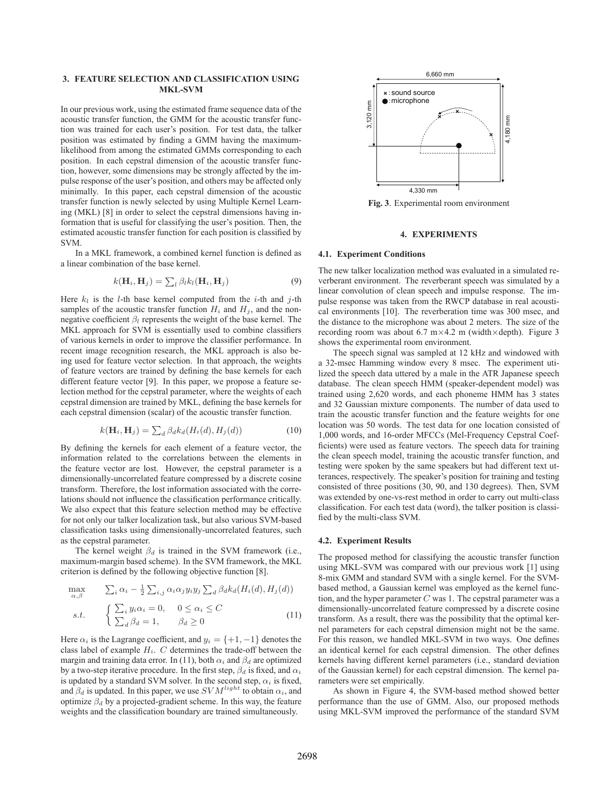## **3. FEATURE SELECTION AND CLASSIFICATION USING MKL-SVM**

In our previous work, using the estimated frame sequence data of the acoustic transfer function, the GMM for the acoustic transfer function was trained for each user's position. For test data, the talker position was estimated by finding a GMM having the maximumlikelihood from among the estimated GMMs corresponding to each position. In each cepstral dimension of the acoustic transfer function, however, some dimensions may be strongly affected by the impulse response of the user's position, and others may be affected only minimally. In this paper, each cepstral dimension of the acoustic transfer function is newly selected by using Multiple Kernel Learning (MKL) [8] in order to select the cepstral dimensions having information that is useful for classifying the user's position. Then, the estimated acoustic transfer function for each position is classified by SVM.

In a MKL framework, a combined kernel function is defined as a linear combination of the base kernel.

$$
k(\mathbf{H}_i, \mathbf{H}_j) = \sum_l \beta_l k_l(\mathbf{H}_i, \mathbf{H}_j)
$$
\n(9)

Here  $k_l$  is the *l*-th base kernel computed from the *i*-th and *j*-th samples of the acoustic transfer function  $H_i$  and  $H_j$ , and the nonnegative coefficient  $\beta_l$  represents the weight of the base kernel. The MKL approach for SVM is essentially used to combine classifiers of various kernels in order to improve the classifier performance. In recent image recognition research, the MKL approach is also being used for feature vector selection. In that approach, the weights of feature vectors are trained by defining the base kernels for each different feature vector [9]. In this paper, we propose a feature selection method for the cepstral parameter, where the weights of each cepstral dimension are trained by MKL, defining the base kernels for each cepstral dimension (scalar) of the acoustic transfer function.

$$
k(\mathbf{H}_i, \mathbf{H}_j) = \sum_d \beta_d k_d(H_i(d), H_j(d)) \tag{10}
$$

By defining the kernels for each element of a feature vector, the information related to the correlations between the elements in the feature vector are lost. However, the cepstral parameter is a dimensionally-uncorrelated feature compressed by a discrete cosine transform. Therefore, the lost information associated with the correlations should not influence the classification performance critically. We also expect that this feature selection method may be effective for not only our talker localization task, but also various SVM-based classification tasks using dimensionally-uncorrelated features, such as the cepstral parameter.

The kernel weight  $\beta_d$  is trained in the SVM framework (i.e., maximum-margin based scheme). In the SVM framework, the MKL criterion is defined by the following objective function [8].

$$
\max_{\alpha,\beta} \qquad \sum_{i} \alpha_i - \frac{1}{2} \sum_{i,j} \alpha_i \alpha_j y_i y_j \sum_d \beta_d k_d (H_i(d), H_j(d))
$$
  
s.t. 
$$
\begin{cases} \sum_i y_i \alpha_i = 0, & 0 \le \alpha_i \le C \\ \sum_d \beta_d = 1, & \beta_d \ge 0 \end{cases}
$$
(11)

Here  $\alpha_i$  is the Lagrange coefficient, and  $y_i = \{+1, -1\}$  denotes the class label of example  $H_i$ . C determines the trade-off between the margin and training data error. In (11), both  $\alpha_i$  and  $\beta_d$  are optimized by a two-step iterative procedure. In the first step,  $\beta_d$  is fixed, and  $\alpha_i$ is updated by a standard SVM solver. In the second step,  $\alpha_i$  is fixed, and  $\beta_d$  is updated. In this paper, we use  $SVM^{light}$  to obtain  $\alpha_i$ , and optimize  $\beta_d$  by a projected-gradient scheme. In this way, the feature weights and the classification boundary are trained simultaneously.



**Fig. 3**. Experimental room environment

## **4. EXPERIMENTS**

## **4.1. Experiment Conditions**

The new talker localization method was evaluated in a simulated reverberant environment. The reverberant speech was simulated by a linear convolution of clean speech and impulse response. The impulse response was taken from the RWCP database in real acoustical environments [10]. The reverberation time was 300 msec, and the distance to the microphone was about 2 meters. The size of the recording room was about 6.7 m×4.2 m (width×depth). Figure 3 shows the experimental room environment.

The speech signal was sampled at 12 kHz and windowed with a 32-msec Hamming window every 8 msec. The experiment utilized the speech data uttered by a male in the ATR Japanese speech database. The clean speech HMM (speaker-dependent model) was trained using 2,620 words, and each phoneme HMM has 3 states and 32 Gaussian mixture components. The number of data used to train the acoustic transfer function and the feature weights for one location was 50 words. The test data for one location consisted of 1,000 words, and 16-order MFCCs (Mel-Frequency Cepstral Coefficients) were used as feature vectors. The speech data for training the clean speech model, training the acoustic transfer function, and testing were spoken by the same speakers but had different text utterances, respectively. The speaker's position for training and testing consisted of three positions (30, 90, and 130 degrees). Then, SVM was extended by one-vs-rest method in order to carry out multi-class classification. For each test data (word), the talker position is classified by the multi-class SVM.

#### **4.2. Experiment Results**

The proposed method for classifying the acoustic transfer function using MKL-SVM was compared with our previous work [1] using 8-mix GMM and standard SVM with a single kernel. For the SVMbased method, a Gaussian kernel was employed as the kernel function, and the hyper parameter  $C$  was 1. The cepstral parameter was a dimensionally-uncorrelated feature compressed by a discrete cosine transform. As a result, there was the possibility that the optimal kernel parameters for each cepstral dimension might not be the same. For this reason, we handled MKL-SVM in two ways. One defines an identical kernel for each cepstral dimension. The other defines kernels having different kernel parameters (i.e., standard deviation of the Gaussian kernel) for each cepstral dimension. The kernel parameters were set empirically.

As shown in Figure 4, the SVM-based method showed better performance than the use of GMM. Also, our proposed methods using MKL-SVM improved the performance of the standard SVM